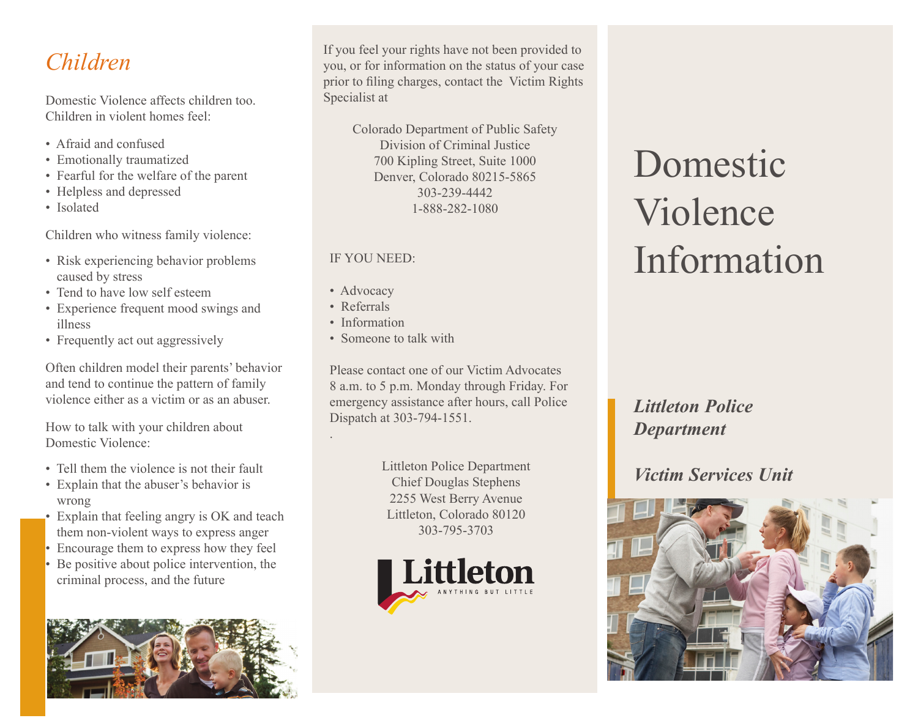Domestic Violence affects children too. Children in violent homes feel:

- Afraid and confused
- Emotionally traumatized
- Fearful for the welfare of the parent
- Helpless and depressed
- Isolated

Children who witness family violence:

- Risk experiencing behavior problems caused by stress
- Tend to have low self esteem
- Experience frequent mood swings and illness
- Frequently act out aggressively

Often children model their parents' behavior and tend to continue the pattern of family violence either as a victim or as an abuser.

How to talk with your children about Domestic Violence:

- Tell them the violence is not their fault
- Explain that the abuser's behavior is wrong
- Explain that feeling angry is OK and teach them non-violent ways to express anger
- Encourage them to express how they feel
- Be positive about police intervention, the criminal process, and the future



**Children** If you feel your rights have not been provided to you, or for information on the status of your case prior to filing charges, contact the Victim Rights Specialist at

> Colorado Department of Public Safety Division of Criminal Justice 700 Kipling Street, Suite 1000 Denver, Colorado 80215-5865 303-239-4442 1-888-282-1080

#### IF YOU NEED:

- Advocacy
- Referrals

.

- Information
- Someone to talk with

Please contact one of our Victim Advocates 8 a.m. to 5 p.m. Monday through Friday. For emergency assistance after hours, call Police Dispatch at 303-794-1551.

> Littleton Police Department Chief Douglas Stephens 2255 West Berry Avenue Littleton, Colorado 80120 303-795-3703



# Domestic Violence Information

*Littleton Police Department*

# *Victim Services Unit*